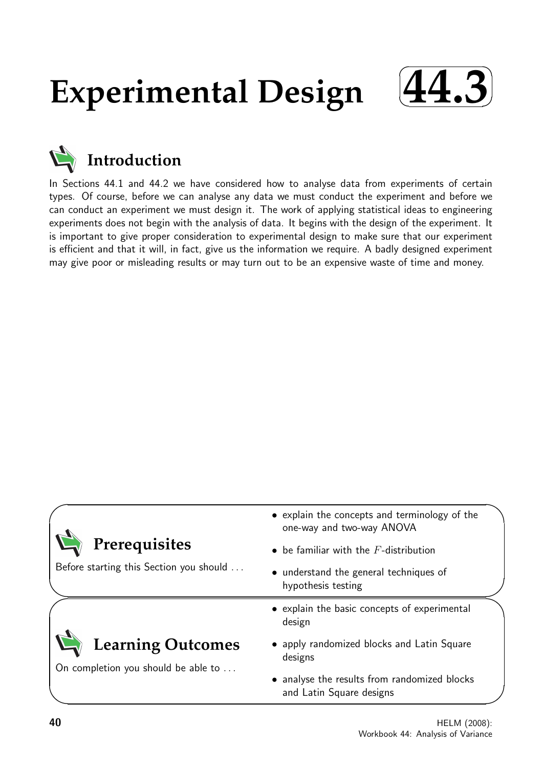# **Experimental Design**





In Sections 44.1 and 44.2 we have considered how to analyse data from experiments of certain types. Of course, before we can analyse any data we must conduct the experiment and before we can conduct an experiment we must design it. The work of applying statistical ideas to engineering experiments does not begin with the analysis of data. It begins with the design of the experiment. It is important to give proper consideration to experimental design to make sure that our experiment is efficient and that it will, in fact, give us the information we require. A badly designed experiment may give poor or misleading results or may turn out to be an expensive waste of time and money.

|                                                                 | • explain the concepts and terminology of the<br>one-way and two-way ANOVA |  |  |  |
|-----------------------------------------------------------------|----------------------------------------------------------------------------|--|--|--|
| Prerequisites                                                   | $\bullet$ be familiar with the $F$ -distribution                           |  |  |  |
| Before starting this Section you should                         | • understand the general techniques of<br>hypothesis testing               |  |  |  |
|                                                                 | • explain the basic concepts of experimental<br>design                     |  |  |  |
| <b>Learning Outcomes</b><br>On completion you should be able to | • apply randomized blocks and Latin Square<br>designs                      |  |  |  |
|                                                                 | • analyse the results from randomized blocks<br>and Latin Square designs   |  |  |  |

 $\overline{\phantom{0}}$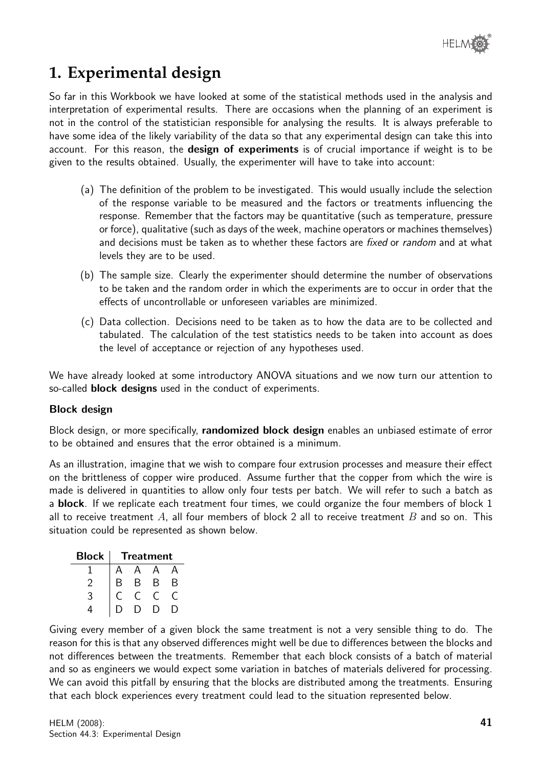# **1. Experimental design**

So far in this Workbook we have looked at some of the statistical methods used in the analysis and interpretation of experimental results. There are occasions when the planning of an experiment is not in the control of the statistician responsible for analysing the results. It is always preferable to have some idea of the likely variability of the data so that any experimental design can take this into account. For this reason, the **design of experiments** is of crucial importance if weight is to be given to the results obtained. Usually, the experimenter will have to take into account:

- (a) The definition of the problem to be investigated. This would usually include the selection of the response variable to be measured and the factors or treatments influencing the response. Remember that the factors may be quantitative (such as temperature, pressure or force), qualitative (such as days of the week, machine operators or machines themselves) and decisions must be taken as to whether these factors are *fixed* or *random* and at what levels they are to be used.
- (b) The sample size. Clearly the experimenter should determine the number of observations to be taken and the random order in which the experiments are to occur in order that the effects of uncontrollable or unforeseen variables are minimized.
- (c) Data collection. Decisions need to be taken as to how the data are to be collected and tabulated. The calculation of the test statistics needs to be taken into account as does the level of acceptance or rejection of any hypotheses used.

We have already looked at some introductory ANOVA situations and we now turn our attention to so-called **block designs** used in the conduct of experiments.

#### Block design

Block design, or more specifically, **randomized block design** enables an unbiased estimate of error to be obtained and ensures that the error obtained is a minimum.

As an illustration, imagine that we wish to compare four extrusion processes and measure their effect on the brittleness of copper wire produced. Assume further that the copper from which the wire is made is delivered in quantities to allow only four tests per batch. We will refer to such a batch as a **block**. If we replicate each treatment four times, we could organize the four members of block 1 all to receive treatment A, all four members of block 2 all to receive treatment B and so on. This situation could be represented as shown below.

| <b>Block</b> | <b>Treatment</b> |   |   |   |  |  |
|--------------|------------------|---|---|---|--|--|
|              |                  | д |   |   |  |  |
|              | B                | В | B | B |  |  |
| っ            |                  |   |   |   |  |  |
|              |                  |   |   |   |  |  |

Giving every member of a given block the same treatment is not a very sensible thing to do. The reason for this is that any observed differences might well be due to differences between the blocks and not differences between the treatments. Remember that each block consists of a batch of material and so as engineers we would expect some variation in batches of materials delivered for processing. We can avoid this pitfall by ensuring that the blocks are distributed among the treatments. Ensuring that each block experiences every treatment could lead to the situation represented below.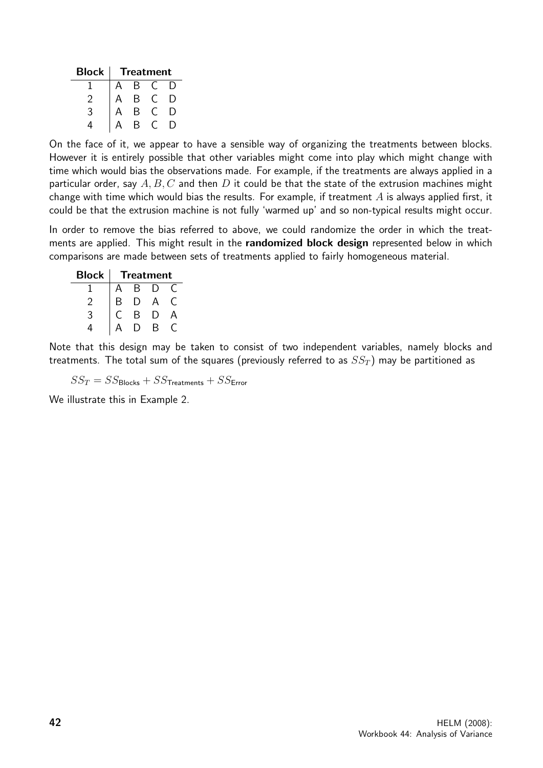| Block | <b>Treatment</b> |   |  |    |  |  |
|-------|------------------|---|--|----|--|--|
|       |                  | В |  |    |  |  |
|       |                  | В |  | I) |  |  |
| 3     |                  | В |  | I) |  |  |
|       |                  | R |  |    |  |  |

On the face of it, we appear to have a sensible way of organizing the treatments between blocks. However it is entirely possible that other variables might come into play which might change with time which would bias the observations made. For example, if the treatments are always applied in a particular order, say  $A, B, C$  and then D it could be that the state of the extrusion machines might change with time which would bias the results. For example, if treatment  $A$  is always applied first, it could be that the extrusion machine is not fully 'warmed up' and so non-typical results might occur.

In order to remove the bias referred to above, we could randomize the order in which the treatments are applied. This might result in the randomized block design represented below in which comparisons are made between sets of treatments applied to fairly homogeneous material.

| <b>Block</b> | <b>Treatment</b> |   |          |  |  |  |
|--------------|------------------|---|----------|--|--|--|
|              |                  | R | I)       |  |  |  |
|              | В                |   | $\Delta$ |  |  |  |
| 3            |                  | R | I)       |  |  |  |
|              |                  |   | R        |  |  |  |

Note that this design may be taken to consist of two independent variables, namely blocks and treatments. The total sum of the squares (previously referred to as  $SS_T$ ) may be partitioned as

 $SS_T = SS_{\text{Blocks}} + SS_{\text{Treatments}} + SS_{\text{Error}}$ 

We illustrate this in Example 2.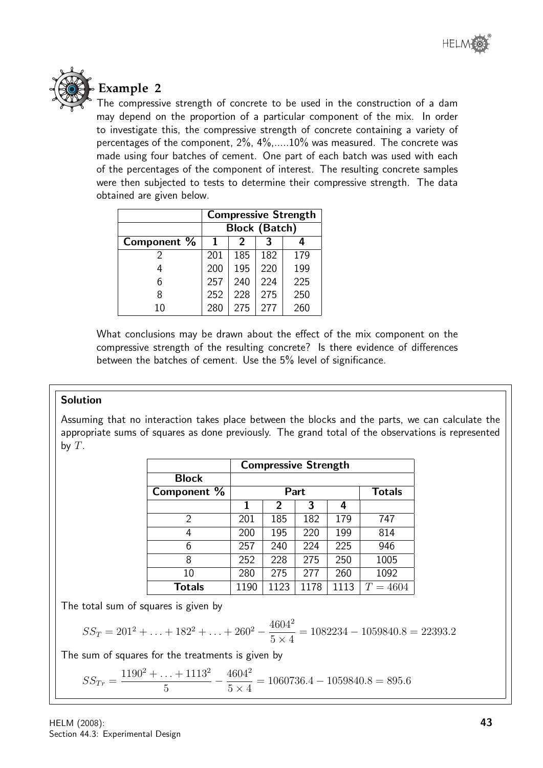



**Example 2**

The compressive strength of concrete to be used in the construction of a dam may depend on the proportion of a particular component of the mix. In order to investigate this, the compressive strength of concrete containing a variety of percentages of the component, 2%, 4%,.....10% was measured. The concrete was made using four batches of cement. One part of each batch was used with each of the percentages of the component of interest. The resulting concrete samples were then subjected to tests to determine their compressive strength. The data obtained are given below.

|             | <b>Compressive Strength</b> |                      |     |     |  |
|-------------|-----------------------------|----------------------|-----|-----|--|
|             |                             | <b>Block (Batch)</b> |     |     |  |
| Component % | 2                           |                      |     |     |  |
|             | 201                         | 185                  | 182 | 179 |  |
|             | 200                         | 195                  | 220 | 199 |  |
| 6           | 257                         | 240                  | 224 | 225 |  |
|             | 252                         | 228                  | 275 | 250 |  |
| 10          | 280                         | 275                  | 277 | 260 |  |

What conclusions may be drawn about the effect of the mix component on the compressive strength of the resulting concrete? Is there evidence of differences between the batches of cement. Use the 5% level of significance.

#### Solution

Assuming that no interaction takes place between the blocks and the parts, we can calculate the appropriate sums of squares as done previously. The grand total of the observations is represented by  $T$ .

|               | <b>Compressive Strength</b> |      |      |      |            |
|---------------|-----------------------------|------|------|------|------------|
| <b>Block</b>  |                             |      |      |      |            |
| Component %   | <b>Totals</b><br>Part       |      |      |      |            |
|               | 1                           | 2    | 3    | 4    |            |
| 2             | 201                         | 185  | 182  | 179  | 747        |
| 4             | 200                         | 195  | 220  | 199  | 814        |
| 6             | 257                         | 240  | 224  | 225  | 946        |
| 8             | 252                         | 228  | 275  | 250  | 1005       |
| 10            | 280                         | 275  | 277  | 260  | 1092       |
| <b>Totals</b> | 1190                        | 1123 | 1178 | 1113 | $T = 4604$ |

The total sum of squares is given by

$$
SS_T = 201^2 + \ldots + 182^2 + \ldots + 260^2 - \frac{4604^2}{5 \times 4} = 1082234 - 1059840.8 = 22393.2
$$

The sum of squares for the treatments is given by

 $SS_{Tr} =$  $1190^2 + \ldots + 1113^2$ 5  $-\frac{4604^2}{5}$  $5 \times 4$  $= 1060736.4 - 1059840.8 = 895.6$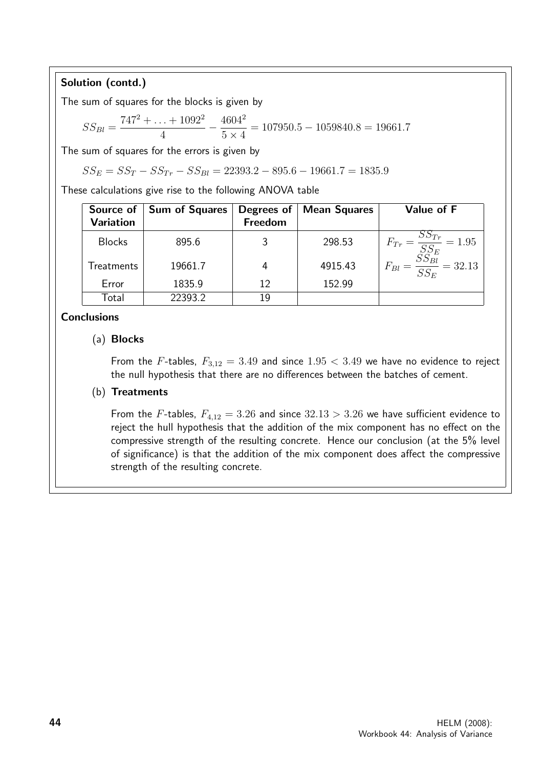Solution (contd.)

The sum of squares for the blocks is given by

$$
SS_{Bl} = \frac{747^2 + \dots + 1092^2}{4} - \frac{4604^2}{5 \times 4} = 107950.5 - 1059840.8 = 19661.7
$$

The sum of squares for the errors is given by

$$
SS_E = SS_T - SS_{Tr} - SS_{Bl} = 22393.2 - 895.6 - 19661.7 = 1835.9
$$

These calculations give rise to the following ANOVA table

| Source of<br><b>Variation</b> | <b>Sum of Squares</b> | Degrees of<br>Freedom | <b>Mean Squares</b> | Value of F                                                                                 |
|-------------------------------|-----------------------|-----------------------|---------------------|--------------------------------------------------------------------------------------------|
| <b>Blocks</b>                 | 895.6                 | 3                     | 298.53              | $F_{Tr} = \frac{SS_{Tr}}{SS_E} = 1.95$                                                     |
| Treatments                    | 19661.7               | 4                     | 4915.43             | $\overline{O}$ $\overline{O}$ $\overline{Bl}$<br>$= 32.13$<br>$F_{Bl} = \frac{1}{S S_F} -$ |
| Error                         | 1835.9                | 12                    | 152.99              |                                                                                            |
| Total                         | 22393.2               | 19                    |                     |                                                                                            |

#### **Conclusions**

#### (a) Blocks

From the F-tables,  $F_{3,12} = 3.49$  and since  $1.95 < 3.49$  we have no evidence to reject the null hypothesis that there are no differences between the batches of cement.

#### (b) Treatments

From the F-tables,  $F_{4,12} = 3.26$  and since  $32.13 > 3.26$  we have sufficient evidence to reject the hull hypothesis that the addition of the mix component has no effect on the compressive strength of the resulting concrete. Hence our conclusion (at the 5% level of significance) is that the addition of the mix component does affect the compressive strength of the resulting concrete.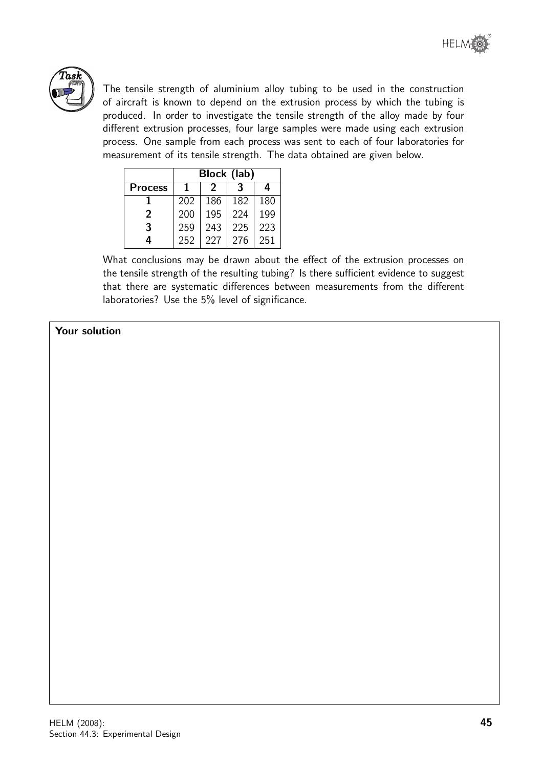

The tensile strength of aluminium alloy tubing to be used in the construction of aircraft is known to depend on the extrusion process by which the tubing is produced. In order to investigate the tensile strength of the alloy made by four different extrusion processes, four large samples were made using each extrusion process. One sample from each process was sent to each of four laboratories for measurement of its tensile strength. The data obtained are given below.

|                | Block (lab) |     |     |     |  |  |
|----------------|-------------|-----|-----|-----|--|--|
| <b>Process</b> | 3<br>4<br>2 |     |     |     |  |  |
|                | 202         | 186 | 182 | 180 |  |  |
| 2              | 200         | 195 | 224 | 199 |  |  |
| 3              | 259         | 243 | 225 | 223 |  |  |
| 4              | 252         | 227 | 276 | 251 |  |  |

What conclusions may be drawn about the effect of the extrusion processes on the tensile strength of the resulting tubing? Is there sufficient evidence to suggest that there are systematic differences between measurements from the different laboratories? Use the 5% level of significance.

#### Your solution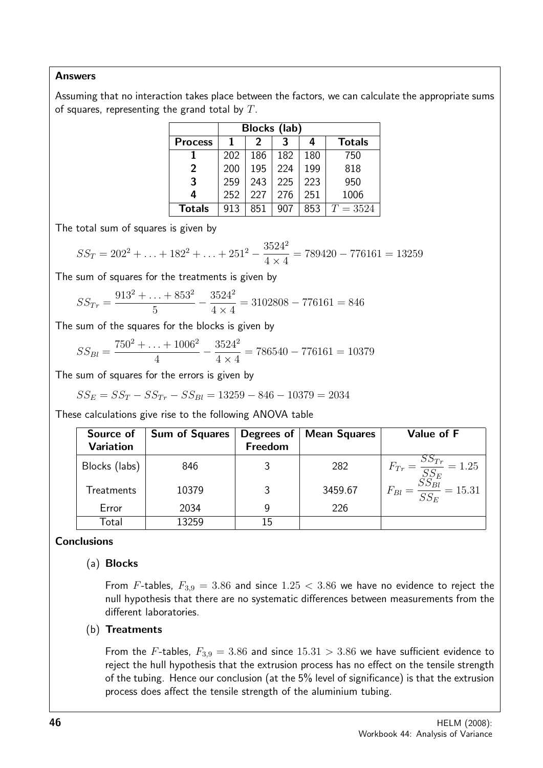#### Answers

Assuming that no interaction takes place between the factors, we can calculate the appropriate sums of squares, representing the grand total by  $T$ .

| Blocks (lab)   |     |                    |     |     |            |  |  |  |
|----------------|-----|--------------------|-----|-----|------------|--|--|--|
| <b>Process</b> |     | <b>Totals</b><br>2 |     |     |            |  |  |  |
|                | 202 | 186                | 182 | 180 | 750        |  |  |  |
| 2              | 200 | 195                | 224 | 199 | 818        |  |  |  |
| 3              | 259 | 243                | 225 | 223 | 950        |  |  |  |
| 4              | 252 | 227                | 276 | 251 | 1006       |  |  |  |
| <b>Totals</b>  | 913 | 851                | 907 | 853 | $T = 3524$ |  |  |  |

The total sum of squares is given by

$$
SS_T = 202^2 + \ldots + 182^2 + \ldots + 251^2 - \frac{3524^2}{4 \times 4} = 789420 - 776161 = 13259
$$

The sum of squares for the treatments is given by

$$
SS_{Tr} = \frac{913^2 + \dots + 853^2}{5} - \frac{3524^2}{4 \times 4} = 3102808 - 776161 = 846
$$

The sum of the squares for the blocks is given by

$$
SS_{Bl} = \frac{750^2 + \dots + 1006^2}{4} - \frac{3524^2}{4 \times 4} = 786540 - 776161 = 10379
$$

The sum of squares for the errors is given by

$$
SS_E = SS_T - SS_{Tr} - SS_{Bl} = 13259 - 846 - 10379 = 2034
$$

These calculations give rise to the following ANOVA table

| Source of         | <b>Sum of Squares</b> | Degrees of $ $ | Mean Squares | Value of F                                                                        |
|-------------------|-----------------------|----------------|--------------|-----------------------------------------------------------------------------------|
| <b>Variation</b>  |                       | Freedom        |              |                                                                                   |
| Blocks (labs)     | 846                   |                | 282          | $F_{Tr} = \frac{SS_{Tr}}{SS_E} = 1.25$<br>$F_{Bl} = \frac{SS_{Bl}}{SS_E} = 15.31$ |
| <b>Treatments</b> | 10379                 | ર              | 3459.67      |                                                                                   |
| Error             | 2034                  |                | 226          |                                                                                   |
| Total             | 13259                 | 15             |              |                                                                                   |

#### **Conclusions**

#### (a) Blocks

From F-tables,  $F_{3,9} = 3.86$  and since  $1.25 < 3.86$  we have no evidence to reject the null hypothesis that there are no systematic differences between measurements from the different laboratories.

#### (b) Treatments

From the F-tables,  $F_{3,9} = 3.86$  and since  $15.31 > 3.86$  we have sufficient evidence to reject the hull hypothesis that the extrusion process has no effect on the tensile strength of the tubing. Hence our conclusion (at the 5% level of significance) is that the extrusion process does affect the tensile strength of the aluminium tubing.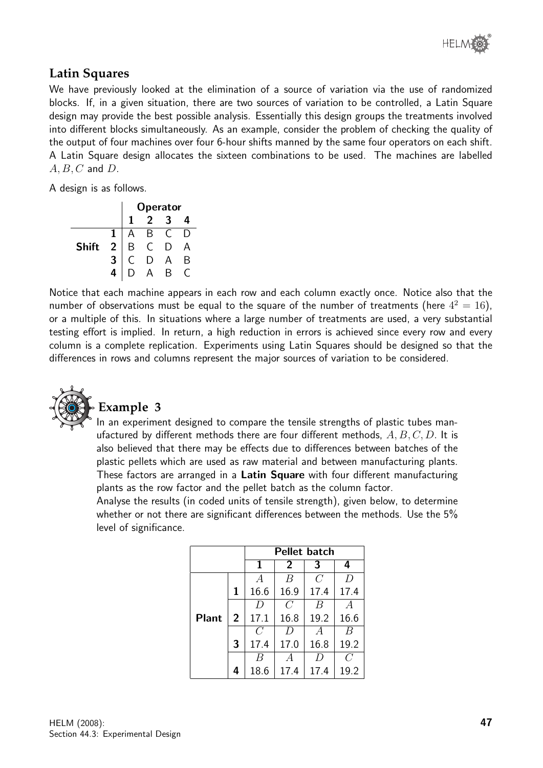# **Latin Squares**

We have previously looked at the elimination of a source of variation via the use of randomized blocks. If, in a given situation, there are two sources of variation to be controlled, a Latin Square design may provide the best possible analysis. Essentially this design groups the treatments involved into different blocks simultaneously. As an example, consider the problem of checking the quality of the output of four machines over four 6-hour shifts manned by the same four operators on each shift. A Latin Square design allocates the sixteen combinations to be used. The machines are labelled  $A, B, C$  and  $D$ .

A design is as follows.

|              |                | <b>Operator</b> |   |  |   |
|--------------|----------------|-----------------|---|--|---|
|              |                |                 |   |  |   |
|              |                |                 | В |  |   |
| <b>Shift</b> | $\overline{2}$ |                 |   |  |   |
|              |                |                 |   |  | Β |
|              | 4              |                 |   |  |   |

Notice that each machine appears in each row and each column exactly once. Notice also that the number of observations must be equal to the square of the number of treatments (here  $4^2 = 16$ ), or a multiple of this. In situations where a large number of treatments are used, a very substantial testing effort is implied. In return, a high reduction in errors is achieved since every row and every column is a complete replication. Experiments using Latin Squares should be designed so that the differences in rows and columns represent the major sources of variation to be considered.



# **Example 3**

In an experiment designed to compare the tensile strengths of plastic tubes manufactured by different methods there are four different methods,  $A, B, C, D$ . It is also believed that there may be effects due to differences between batches of the plastic pellets which are used as raw material and between manufacturing plants. These factors are arranged in a Latin Square with four different manufacturing plants as the row factor and the pellet batch as the column factor.

Analyse the results (in coded units of tensile strength), given below, to determine whether or not there are significant differences between the methods. Use the 5% level of significance.

|              |                | <b>Pellet batch</b> |                |                |      |
|--------------|----------------|---------------------|----------------|----------------|------|
|              |                | 1                   | $\overline{2}$ | 3              | 4    |
|              |                | $\overline{A}$      | B              | $\overline{C}$ | D    |
|              | 1              | 16.6                | 16.9           | 17.4           | 17.4 |
|              |                | D                   | $\mathcal C$   | В              |      |
| <b>Plant</b> | $\overline{2}$ | 17.1                | 16.8           | 19.2           | 16.6 |
|              |                | $\overline{C}$      | D              | A              | B    |
|              | 3              | 17.4                | 17.0           | 16.8           | 19.2 |
|              |                | B                   | А              | D              | C    |
|              | 4              | 18.6                | 17.4           | 17.4           | 19.2 |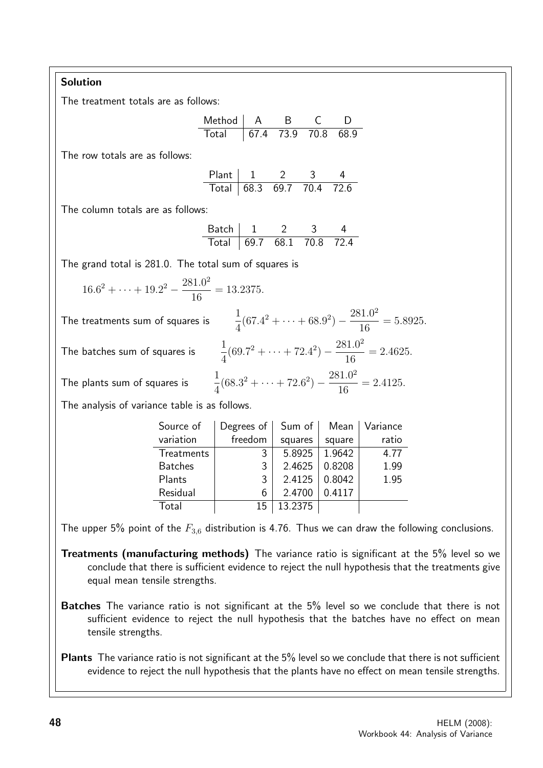## Solution

The treatment totals are as follows:

Method A B C D Total 67.4 73.9 70.8 68.9

The row totals are as follows:

Plant 1 2 3 4 Total 68.3 69.7 70.4 72.6

The column totals are as follows:

| ≺atch |       |         |               |
|-------|-------|---------|---------------|
| Lotal | 169.7 | 681 708 | $\sim$ $\sim$ |

 $(67.4^2 + \cdots + 68.9^2) - \frac{281.0^2}{10}$ 

 $(69.7^2 + \cdots + 72.4^2) - \frac{281.0^2}{10}$ 

 $(68.3^2 + \cdots + 72.6^2) - \frac{281.0^2}{10}$ 

16

16

16

 $= 5.8925.$ 

 $= 2.4625.$ 

 $= 2.4125.$ 

4

4

4

The grand total is 281.0. The total sum of squares is

$$
16.62 + \dots + 19.22 - \frac{281.02}{16} = 13.2375.
$$

The treatments sum of squares is

The batches sum of squares is

The plants sum of squares is

The analysis of variance table is as follows.

| Source of      | Degrees of | Sum of  | Mean   | Variance |
|----------------|------------|---------|--------|----------|
| variation      | freedom    | squares | square | ratio    |
| Treatments     | 3          | 5.8925  | 1.9642 | 4.77     |
| <b>Batches</b> | 3          | 2.4625  | 0.8208 | 1.99     |
| Plants         | 3          | 2.4125  | 0.8042 | 1.95     |
| Residual       | 6          | 2.4700  | 0.4117 |          |
| Total          | 15         | 13.2375 |        |          |

The upper 5% point of the  $F_{3,6}$  distribution is 4.76. Thus we can draw the following conclusions.

- Treatments (manufacturing methods) The variance ratio is significant at the 5% level so we conclude that there is sufficient evidence to reject the null hypothesis that the treatments give equal mean tensile strengths.
- **Batches** The variance ratio is not significant at the 5% level so we conclude that there is not sufficient evidence to reject the null hypothesis that the batches have no effect on mean tensile strengths.

Plants The variance ratio is not significant at the 5% level so we conclude that there is not sufficient evidence to reject the null hypothesis that the plants have no effect on mean tensile strengths.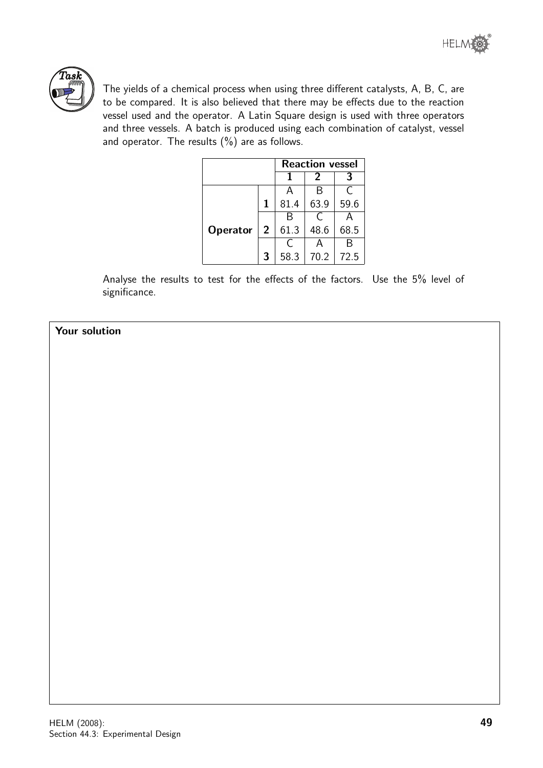



The yields of a chemical process when using three different catalysts, A, B, C, are to be compared. It is also believed that there may be effects due to the reaction vessel used and the operator. A Latin Square design is used with three operators and three vessels. A batch is produced using each combination of catalyst, vessel and operator. The results  $(\%)$  are as follows.

|                 |                | <b>Reaction vessel</b> |      |      |  |  |
|-----------------|----------------|------------------------|------|------|--|--|
|                 |                |                        | 2    |      |  |  |
|                 |                | А                      | В    | C    |  |  |
|                 | 1              | 81.4                   | 63.9 | 59.6 |  |  |
|                 |                |                        |      |      |  |  |
| <b>Operator</b> | $\overline{2}$ | 61.3                   | 48.6 | 68.5 |  |  |
|                 |                |                        |      | R    |  |  |
|                 | 3              | 58.3                   | 70.2 | 72.5 |  |  |

Analyse the results to test for the effects of the factors. Use the 5% level of significance.

#### Your solution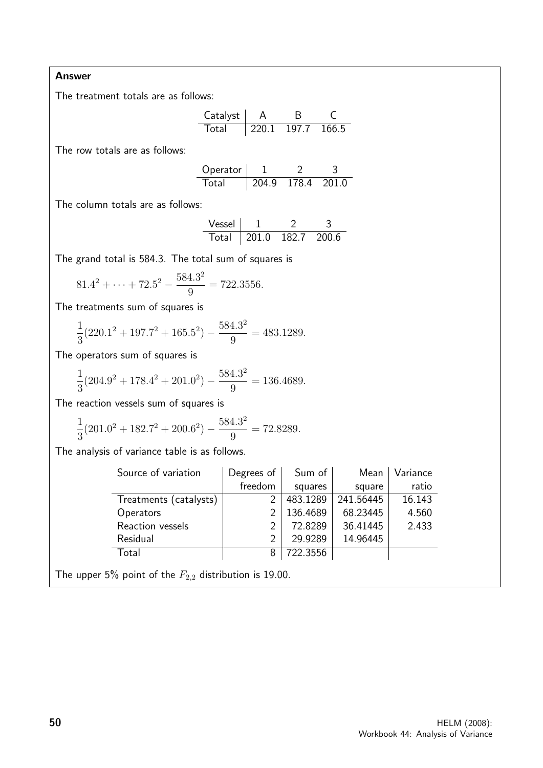#### Answer

The treatment totals are as follows:

| Catalyst |                  | R     |       |
|----------|------------------|-------|-------|
| Total    | $^{\circ}$ 220.1 | 197.7 | 166.5 |

The row totals are as follows:

| Operator |       |             |  |
|----------|-------|-------------|--|
| Total    | 204.9 | 178.4 201.0 |  |

The column totals are as follows:

| lazən V |          |                 |  |
|---------|----------|-----------------|--|
| Lotal   | . 201 () | - 182.7 - 200.6 |  |

The grand total is 584.3. The total sum of squares is

$$
81.42 + \dots + 72.52 - \frac{584.32}{9} = 722.3556.
$$

The treatments sum of squares is

$$
\frac{1}{3}(220.1^2 + 197.7^2 + 165.5^2) - \frac{584.3^2}{9} = 483.1289.
$$

The operators sum of squares is

$$
\frac{1}{3}(204.9^2 + 178.4^2 + 201.0^2) - \frac{584.3^2}{9} = 136.4689.
$$

The reaction vessels sum of squares is

$$
\frac{1}{3}(201.0^2 + 182.7^2 + 200.6^2) - \frac{584.3^2}{9} = 72.8289.
$$

The analysis of variance table is as follows.

| Source of variation    | Degrees of | Sum of   | Mean      | Variance |
|------------------------|------------|----------|-----------|----------|
|                        | freedom    | squares  | square    | ratio    |
| Treatments (catalysts) |            | 483.1289 | 241.56445 | 16.143   |
| Operators              |            | 136.4689 | 68.23445  | 4.560    |
| Reaction vessels       |            | 72.8289  | 36.41445  | 2.433    |
| Residual               |            | 29.9289  | 14.96445  |          |
| Total                  | 8          | 722.3556 |           |          |

The upper 5% point of the  $F_{2,2}$  distribution is 19.00.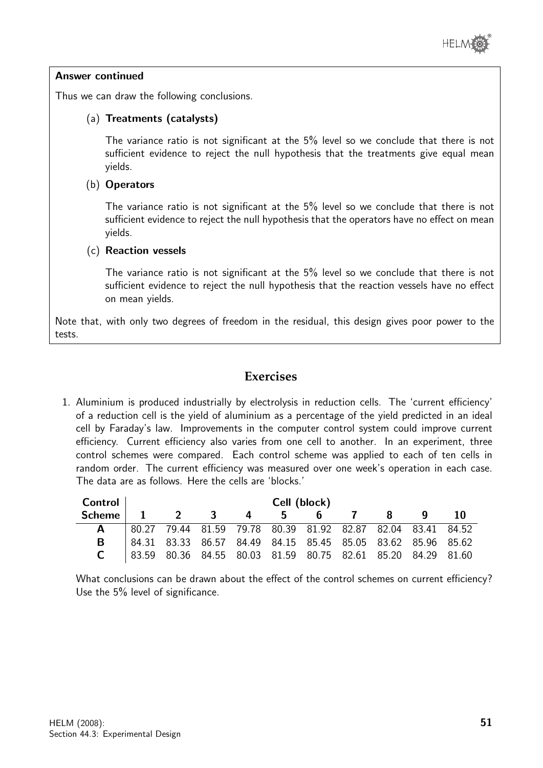

#### Answer continued

Thus we can draw the following conclusions.

#### (a) Treatments (catalysts)

The variance ratio is not significant at the 5% level so we conclude that there is not sufficient evidence to reject the null hypothesis that the treatments give equal mean yields.

#### (b) Operators

The variance ratio is not significant at the 5% level so we conclude that there is not sufficient evidence to reject the null hypothesis that the operators have no effect on mean yields.

#### (c) Reaction vessels

The variance ratio is not significant at the 5% level so we conclude that there is not sufficient evidence to reject the null hypothesis that the reaction vessels have no effect on mean yields.

Note that, with only two degrees of freedom in the residual, this design gives poor power to the tests.

# **Exercises**

1. Aluminium is produced industrially by electrolysis in reduction cells. The 'current efficiency' of a reduction cell is the yield of aluminium as a percentage of the yield predicted in an ideal cell by Faraday's law. Improvements in the computer control system could improve current efficiency. Current efficiency also varies from one cell to another. In an experiment, three control schemes were compared. Each control scheme was applied to each of ten cells in random order. The current efficiency was measured over one week's operation in each case. The data are as follows. Here the cells are 'blocks.'

| Control       | Cell (block) |                                                             |                  |   |    |   |  |   |  |    |
|---------------|--------------|-------------------------------------------------------------|------------------|---|----|---|--|---|--|----|
| <b>Scheme</b> |              |                                                             | $\overline{2}$ 3 | 4 | 5. | 6 |  | 8 |  | 10 |
|               |              | 80.27 79.44 81.59 79.78 80.39 81.92 82.87 82.04 83.41 84.52 |                  |   |    |   |  |   |  |    |
|               |              | 84.31 83.33 86.57 84.49 84.15 85.45 85.05 83.62 85.96 85.62 |                  |   |    |   |  |   |  |    |
|               |              | 83.59 80.36 84.55 80.03 81.59 80.75 82.61 85.20 84.29 81.60 |                  |   |    |   |  |   |  |    |

What conclusions can be drawn about the effect of the control schemes on current efficiency? Use the 5% level of significance.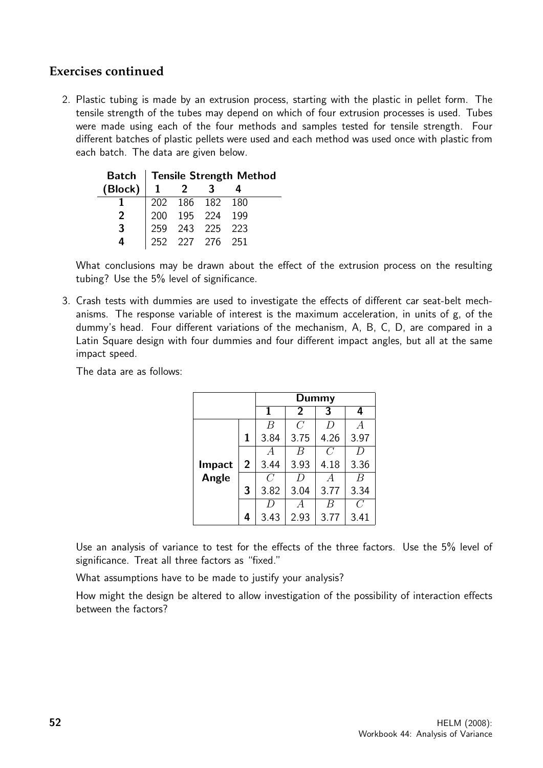# **Exercises continued**

2. Plastic tubing is made by an extrusion process, starting with the plastic in pellet form. The tensile strength of the tubes may depend on which of four extrusion processes is used. Tubes were made using each of the four methods and samples tested for tensile strength. Four different batches of plastic pellets were used and each method was used once with plastic from each batch. The data are given below.

|         | Batch   Tensile Strength Method |                                                                          |  |  |  |  |  |  |
|---------|---------------------------------|--------------------------------------------------------------------------|--|--|--|--|--|--|
| (Block) |                                 |                                                                          |  |  |  |  |  |  |
|         |                                 |                                                                          |  |  |  |  |  |  |
| 2       |                                 |                                                                          |  |  |  |  |  |  |
| 3       |                                 |                                                                          |  |  |  |  |  |  |
|         |                                 | 202 186 182 180<br>200 195 224 199<br>259 243 225 223<br>252 227 276 251 |  |  |  |  |  |  |

What conclusions may be drawn about the effect of the extrusion process on the resulting tubing? Use the 5% level of significance.

3. Crash tests with dummies are used to investigate the effects of different car seat-belt mechanisms. The response variable of interest is the maximum acceleration, in units of g, of the dummy's head. Four different variations of the mechanism, A, B, C, D, are compared in a Latin Square design with four dummies and four different impact angles, but all at the same impact speed.

The data are as follows:

|               |                | Dummy          |                |                |                |  |  |  |
|---------------|----------------|----------------|----------------|----------------|----------------|--|--|--|
|               |                | 1              | $\overline{2}$ | 3              | 4              |  |  |  |
|               |                | B              | $\overline{C}$ | D              | $\overline{A}$ |  |  |  |
|               | 1              | 3.84           | 3.75           | 4.26           | 3.97           |  |  |  |
|               |                | А              | B              | $\overline{C}$ | D              |  |  |  |
| <b>Impact</b> | $\overline{2}$ | 3.44           | 3.93           | 4.18           | 3.36           |  |  |  |
| Angle         |                | $\overline{C}$ | D              | A              | B              |  |  |  |
|               | 3              | 3.82           | 3.04           | 3.77           | 3.34           |  |  |  |
|               |                | D              | А              | B              | C              |  |  |  |
|               | 4              | 3.43           | 2.93           | 3.77           | 3.41           |  |  |  |

Use an analysis of variance to test for the effects of the three factors. Use the 5% level of significance. Treat all three factors as "fixed."

What assumptions have to be made to justify your analysis?

How might the design be altered to allow investigation of the possibility of interaction effects between the factors?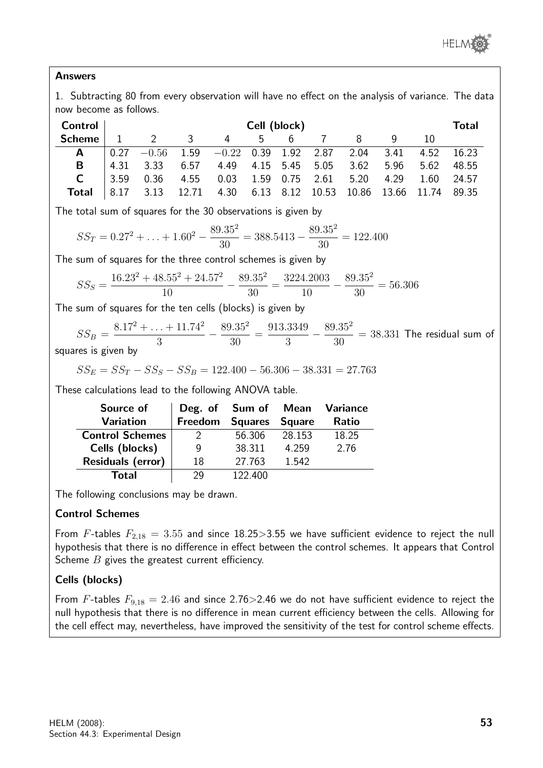

#### Answers

1. Subtracting 80 from every observation will have no effect on the analysis of variance. The data now become as follows.

| Control       | Cell (block) |                |               |                                                                                                 |     |   |  |   |  | Total      |  |
|---------------|--------------|----------------|---------------|-------------------------------------------------------------------------------------------------|-----|---|--|---|--|------------|--|
| <b>Scheme</b> |              | $\overline{2}$ | $\mathcal{R}$ | 4                                                                                               | 5 - | 6 |  | 8 |  |            |  |
| A             |              |                |               | $\frac{1}{2}$ 0.27 $\,\text{--}0.56$ 1.59 $\,\text{--}0.22$ 0.39 1.92 2.87 2.04 3.41 4.52 16.23 |     |   |  |   |  |            |  |
| B             |              | $4.31$ 3.33    |               | 6.57 4.49 4.15 5.45 5.05 3.62 5.96 5.62 48.55                                                   |     |   |  |   |  |            |  |
|               | 3.59         | 0.36           |               | 4.55  0.03  1.59  0.75  2.61  5.20  4.29                                                        |     |   |  |   |  | 1.60 24.57 |  |
| Total         |              | 8.17 3.13      |               | 12.71 4.30 6.13 8.12 10.53 10.86 13.66 11.74 89.35                                              |     |   |  |   |  |            |  |

The total sum of squares for the 30 observations is given by

$$
SS_T = 0.27^2 + \dots + 1.60^2 - \frac{89.35^2}{30} = 388.5413 - \frac{89.35^2}{30} = 122.400
$$

The sum of squares for the three control schemes is given by

$$
SS_S = \frac{16.23^2 + 48.55^2 + 24.57^2}{10} - \frac{89.35^2}{30} = \frac{3224.2003}{10} - \frac{89.35^2}{30} = 56.306
$$

The sum of squares for the ten cells (blocks) is given by

$$
SS_B = \frac{8.17^2 + \dots + 11.74^2}{3} - \frac{89.35^2}{30} = \frac{913.3349}{3} - \frac{89.35^2}{30} = 38.331
$$
 The residual sum of

squares is given by

$$
SS_E = SS_T - SS_S - SS_B = 122.400 - 56.306 - 38.331 = 27.763
$$

These calculations lead to the following ANOVA table.

| Source of                | Deg. of        |                |               | <b>Sum of Mean Variance</b> |
|--------------------------|----------------|----------------|---------------|-----------------------------|
| <b>Variation</b>         | <b>Freedom</b> | <b>Squares</b> | <b>Square</b> | <b>Ratio</b>                |
| <b>Control Schemes</b>   |                | 56.306         | 28.153        | 18.25                       |
| Cells (blocks)           | 9              | 38.311         | 4.259         | 2.76                        |
| <b>Residuals (error)</b> | 18             | 27.763         | 1.542         |                             |
| Total                    | 29             | 122.400        |               |                             |

The following conclusions may be drawn.

#### Control Schemes

From F-tables  $F_{2,18} = 3.55$  and since 18.25>3.55 we have sufficient evidence to reject the null hypothesis that there is no difference in effect between the control schemes. It appears that Control Scheme  $B$  gives the greatest current efficiency.

## Cells (blocks)

From F-tables  $F_{9,18} = 2.46$  and since 2.76>2.46 we do not have sufficient evidence to reject the null hypothesis that there is no difference in mean current efficiency between the cells. Allowing for the cell effect may, nevertheless, have improved the sensitivity of the test for control scheme effects.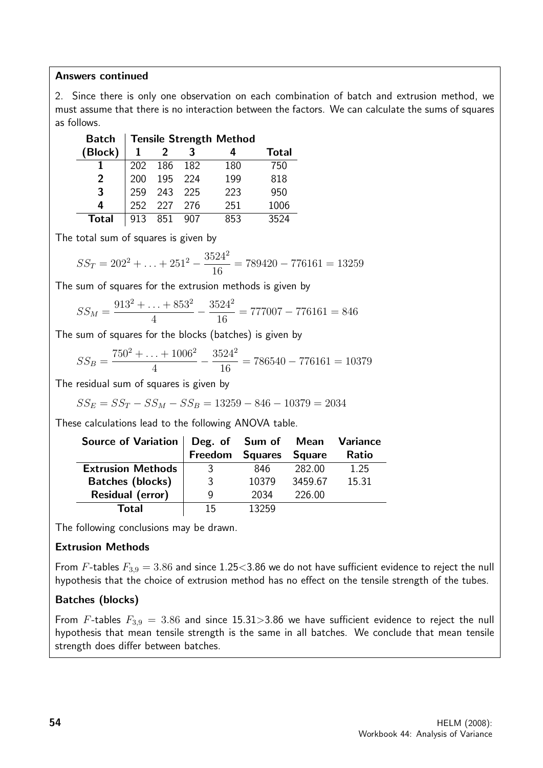#### Answers continued

2. Since there is only one observation on each combination of batch and extrusion method, we must assume that there is no interaction between the factors. We can calculate the sums of squares as follows.

| <b>Batch</b> |            | <b>Tensile Strength Method</b> |       |     |              |  |  |  |  |
|--------------|------------|--------------------------------|-------|-----|--------------|--|--|--|--|
| (Block)      |            |                                |       |     | <b>Total</b> |  |  |  |  |
|              | <b>202</b> | 186                            | 182   | 180 | 750          |  |  |  |  |
| 2            | 200        | 195                            | 224   | 199 | 818          |  |  |  |  |
| 3            | 259        | 243                            | - 225 | 223 | 950          |  |  |  |  |
| 4            | 252        | 227                            | 276   | 251 | 1006         |  |  |  |  |
| Total        | 913        | 851                            | 907   | ८५२ | 3524         |  |  |  |  |

The total sum of squares is given by

$$
SS_T = 202^2 + \ldots + 251^2 - \frac{3524^2}{16} = 789420 - 776161 = 13259
$$

The sum of squares for the extrusion methods is given by

$$
SS_M = \frac{913^2 + \dots + 853^2}{4} - \frac{3524^2}{16} = 777007 - 776161 = 846
$$

The sum of squares for the blocks (batches) is given by

$$
SS_B = \frac{750^2 + \dots + 1006^2}{4} - \frac{3524^2}{16} = 786540 - 776161 = 10379
$$

The residual sum of squares is given by

$$
SS_E = SS_T - SS_M - SS_B = 13259 - 846 - 10379 = 2034
$$

These calculations lead to the following ANOVA table.

| Source of Variation   Deg. of Sum of Mean Variance |                 |       |               |              |  |
|----------------------------------------------------|-----------------|-------|---------------|--------------|--|
|                                                    | Freedom Squares |       | <b>Square</b> | <b>Ratio</b> |  |
| <b>Extrusion Methods</b>                           | 3               | 846   | 282.00        | 1.25         |  |
| <b>Batches (blocks)</b>                            | 3               | 10379 | 3459.67       | 15.31        |  |
| <b>Residual (error)</b>                            | g               | 2034  | 226.00        |              |  |
| Total                                              | 15              | 13259 |               |              |  |

The following conclusions may be drawn.

#### Extrusion Methods

From F-tables  $F_{3,9} = 3.86$  and since 1.25<3.86 we do not have sufficient evidence to reject the null hypothesis that the choice of extrusion method has no effect on the tensile strength of the tubes.

#### Batches (blocks)

From F-tables  $F_{3,9} = 3.86$  and since 15.31>3.86 we have sufficient evidence to reject the null hypothesis that mean tensile strength is the same in all batches. We conclude that mean tensile strength does differ between batches.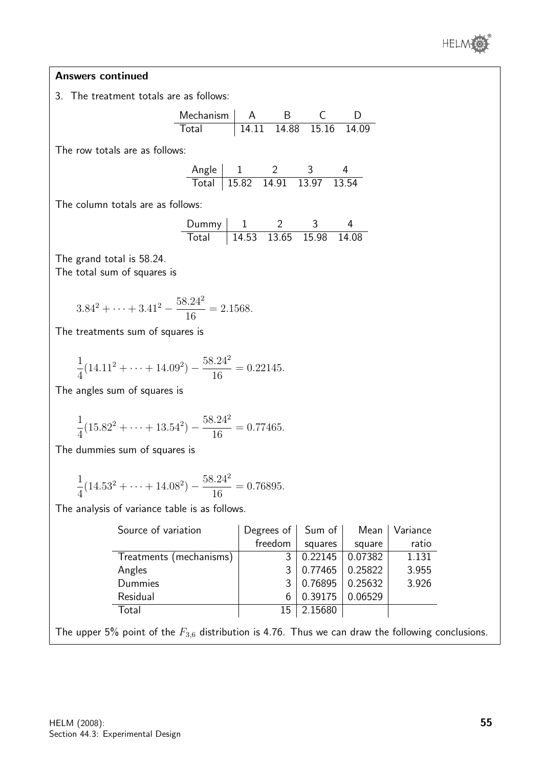

#### Answers continued

3. The treatment totals are as follows:

Mechanism A B C D Total 14.11 14.88 15.16 14.09

The row totals are as follows:

| Angle $\vert$ 1 |                                    |  |  |  |
|-----------------|------------------------------------|--|--|--|
|                 | Total   15.82  14.91  13.97  13.54 |  |  |  |

The column totals are as follows:

| Dummy |  |                           |  |  |
|-------|--|---------------------------|--|--|
| Total |  | $14.53$ 13.65 15.98 14.08 |  |  |

The grand total is 58.24. The total sum of squares is

$$
3.842 + \dots + 3.412 - \frac{58.242}{16} = 2.1568.
$$

The treatments sum of squares is

$$
\frac{1}{4}(14.11^2 + \dots + 14.09^2) - \frac{58.24^2}{16} = 0.22145.
$$

The angles sum of squares is

$$
\frac{1}{4}(15.82^2 + \dots + 13.54^2) - \frac{58.24^2}{16} = 0.77465.
$$

The dummies sum of squares is

$$
\frac{1}{4}(14.53^2 + \dots + 14.08^2) - \frac{58.24^2}{16} = 0.76895.
$$

The analysis of variance table is as follows.

| Source of variation     | Degrees of $\vert$ Sum of |         | Mean    | Variance |  |
|-------------------------|---------------------------|---------|---------|----------|--|
|                         | freedom                   | squares | square  | ratio    |  |
| Treatments (mechanisms) | 3                         | 0.22145 | 0.07382 | 1.131    |  |
| Angles                  |                           | 0.77465 | 0.25822 | 3.955    |  |
| Dummies                 | 3                         | 0.76895 | 0.25632 | 3.926    |  |
| Residual                | 6                         | 0.39175 | 0.06529 |          |  |
| Total                   | 15                        | 2.15680 |         |          |  |

The upper 5% point of the  $F_{3,6}$  distribution is 4.76. Thus we can draw the following conclusions.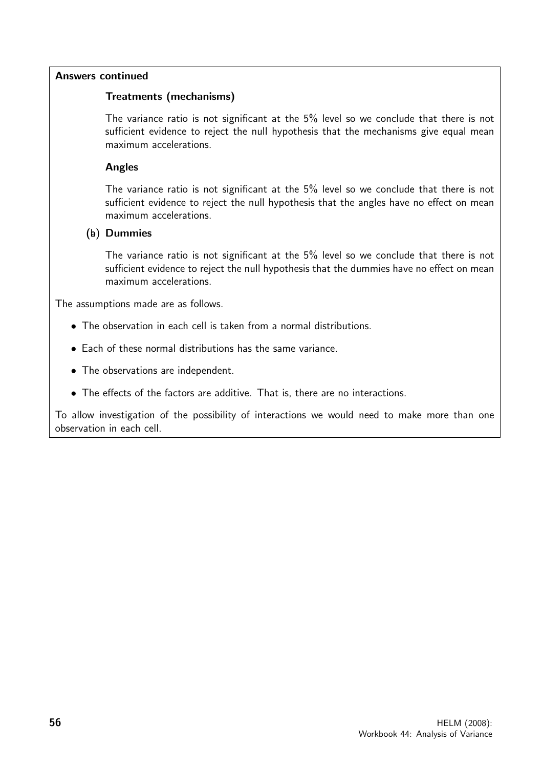#### Answers continued

#### Treatments (mechanisms)

The variance ratio is not significant at the 5% level so we conclude that there is not sufficient evidence to reject the null hypothesis that the mechanisms give equal mean maximum accelerations.

#### Angles

The variance ratio is not significant at the 5% level so we conclude that there is not sufficient evidence to reject the null hypothesis that the angles have no effect on mean maximum accelerations.

#### $(b)$  Dummies

The variance ratio is not significant at the 5% level so we conclude that there is not sufficient evidence to reject the null hypothesis that the dummies have no effect on mean maximum accelerations.

The assumptions made are as follows.

- The observation in each cell is taken from a normal distributions.
- Each of these normal distributions has the same variance.
- The observations are independent.
- The effects of the factors are additive. That is, there are no interactions.

To allow investigation of the possibility of interactions we would need to make more than one observation in each cell.